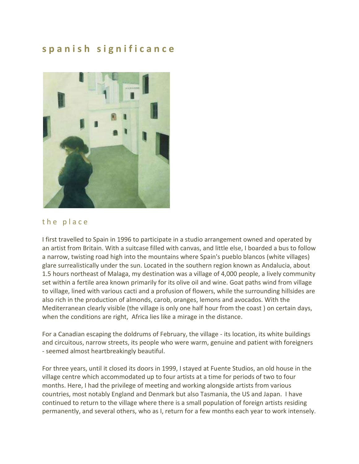## **s p a n i s h s i g n i f i c a n c e**



## the place

I first travelled to Spain in 1996 to participate in a studio arrangement owned and operated by an artist from Britain. With a suitcase filled with canvas, and little else, I boarded a bus to follow a narrow, twisting road high into the mountains where Spain's pueblo blancos (white villages) glare surrealistically under the sun. Located in the southern region known as Andalucia, about 1.5 hours northeast of Malaga, my destination was a village of 4,000 people, a lively community set within a fertile area known primarily for its olive oil and wine. Goat paths wind from village to village, lined with various cacti and a profusion of flowers, while the surrounding hillsides are also rich in the production of almonds, carob, oranges, lemons and avocados. With the Mediterranean clearly visible (the village is only one half hour from the coast ) on certain days, when the conditions are right, Africa lies like a mirage in the distance.

For a Canadian escaping the doldrums of February, the village - its location, its white buildings and circuitous, narrow streets, its people who were warm, genuine and patient with foreigners - seemed almost heartbreakingly beautiful.

For three years, until it closed its doors in 1999, I stayed at Fuente Studios, an old house in the village centre which accommodated up to four artists at a time for periods of two to four months. Here, I had the privilege of meeting and working alongside artists from various countries, most notably England and Denmark but also Tasmania, the US and Japan. I have continued to return to the village where there is a small population of foreign artists residing permanently, and several others, who as I, return for a few months each year to work intensely.